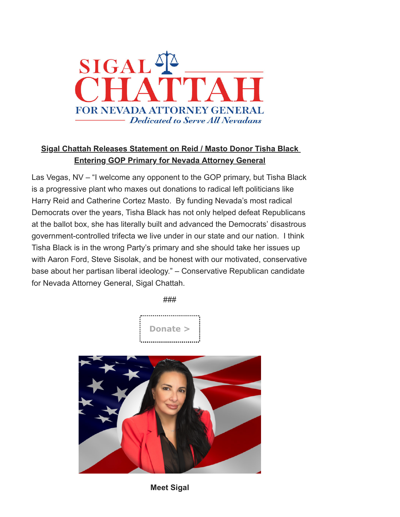

## **Sigal Chattah Releases Statement on Reid / Masto Donor Tisha Black Entering GOP Primary for Nevada Attorney General**

Las Vegas, NV – "I welcome any opponent to the GOP primary, but Tisha Black is a progressive plant who maxes out donations to radical left politicians like Harry Reid and Catherine Cortez Masto. By funding Nevada's most radical Democrats over the years, Tisha Black has not only helped defeat Republicans at the ballot box, she has literally built and advanced the Democrats' disastrous government-controlled trifecta we live under in our state and our nation. I think Tisha Black is in the wrong Party's primary and she should take her issues up with Aaron Ford, Steve Sisolak, and be honest with our motivated, conservative base about her partisan liberal ideology." – Conservative Republican candidate for Nevada Attorney General, Sigal Chattah.

###





**Meet Sigal**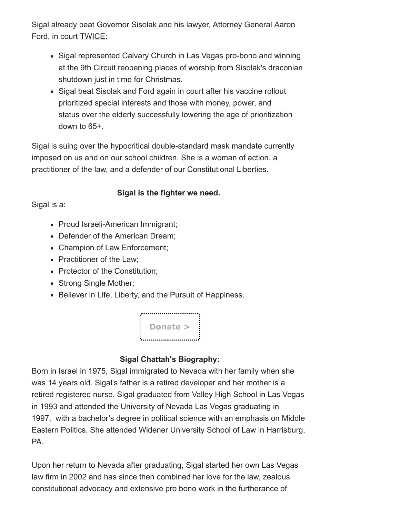Sigal already beat Governor Sisolak and his lawyer, Attorney General Aaron Ford, in court TWICE:

- Sigal represented Calvary Church in Las Vegas pro-bono and winning at the 9th Circuit reopening places of worship from Sisolak's draconian shutdown just in time for Christmas.
- Sigal beat Sisolak and Ford again in court after his vaccine rollout prioritized special interests and those with money, power, and status over the elderly successfully lowering the age of prioritization down to 65+.

Sigal is suing over the hypocritical double-standard mask mandate currently imposed on us and on our school children. She is a woman of action, a practitioner of the law, and a defender of our Constitutional Liberties.

## **Sigal is the fighter we need.**

Sigal is a:

- Proud Israeli-American Immigrant;
- Defender of the American Dream;
- Champion of Law Enforcement;
- Practitioner of the Law;
- Protector of the Constitution;
- Strong Single Mother;
- Believer in Life, Liberty, and the Pursuit of Happiness.



## **Sigal Chattah's Biography:**

Born in Israel in 1975, Sigal immigrated to Nevada with her family when she was 14 years old. Sigal's father is a retired developer and her mother is a retired registered nurse. Sigal graduated from Valley High School in Las Vegas in 1993 and attended the University of Nevada Las Vegas graduating in 1997, with a bachelor's degree in political science with an emphasis on Middle Eastern Politics. She attended Widener University School of Law in Harrisburg, PA.

Upon her return to Nevada after graduating, Sigal started her own Las Vegas law firm in 2002 and has since then combined her love for the law, zealous constitutional advocacy and extensive pro bono work in the furtherance of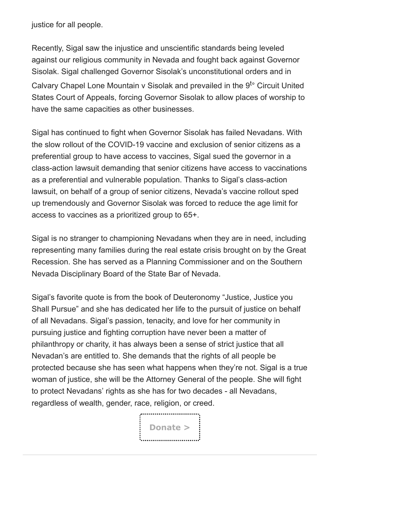justice for all people.

Recently, Sigal saw the injustice and unscientific standards being leveled against our religious community in Nevada and fought back against Governor Sisolak. Sigal challenged Governor Sisolak's unconstitutional orders and in Calvary Chapel Lone Mountain v Sisolak and prevailed in the  $9^{t}$ ° Circuit United States Court of Appeals, forcing Governor Sisolak to allow places of worship to have the same capacities as other businesses.

Sigal has continued to fight when Governor Sisolak has failed Nevadans. With the slow rollout of the COVID-19 vaccine and exclusion of senior citizens as a preferential group to have access to vaccines, Sigal sued the governor in a class-action lawsuit demanding that senior citizens have access to vaccinations as a preferential and vulnerable population. Thanks to Sigal's class-action lawsuit, on behalf of a group of senior citizens, Nevada's vaccine rollout sped up tremendously and Governor Sisolak was forced to reduce the age limit for access to vaccines as a prioritized group to 65+.

Sigal is no stranger to championing Nevadans when they are in need, including representing many families during the real estate crisis brought on by the Great Recession. She has served as a Planning Commissioner and on the Southern Nevada Disciplinary Board of the State Bar of Nevada.

Sigal's favorite quote is from the book of Deuteronomy "Justice, Justice you Shall Pursue" and she has dedicated her life to the pursuit of justice on behalf of all Nevadans. Sigal's passion, tenacity, and love for her community in pursuing justice and fighting corruption have never been a matter of philanthropy or charity, it has always been a sense of strict justice that all Nevadan's are entitled to. She demands that the rights of all people be protected because she has seen what happens when they're not. Sigal is a true woman of justice, she will be the Attorney General of the people. She will fight to protect Nevadans' rights as she has for two decades - all Nevadans, regardless of wealth, gender, race, religion, or creed.